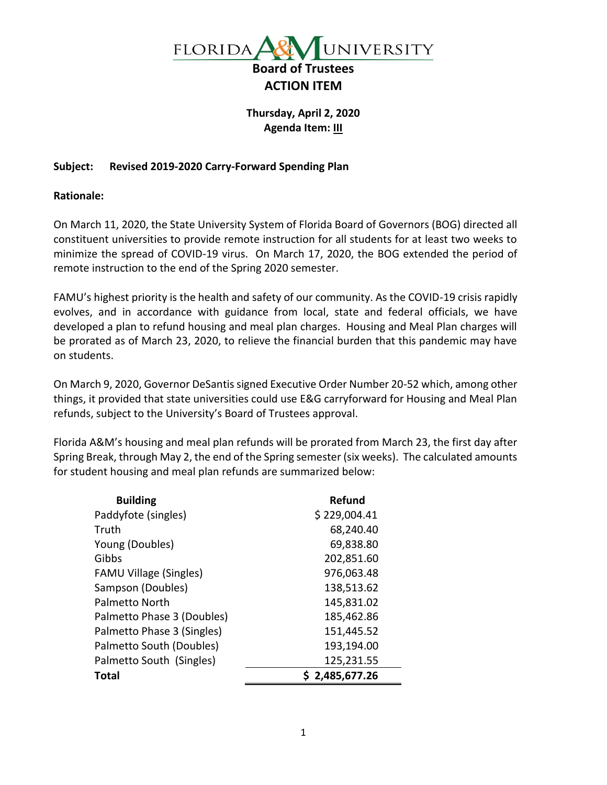

## **Thursday, April 2, 2020 Agenda Item: III**

## **Subject: Revised 2019-2020 Carry-Forward Spending Plan**

**Rationale:**

On March 11, 2020, the State University System of Florida Board of Governors (BOG) directed all constituent universities to provide remote instruction for all students for at least two weeks to minimize the spread of COVID-19 virus. On March 17, 2020, the BOG extended the period of remote instruction to the end of the Spring 2020 semester.

FAMU's highest priority is the health and safety of our community. As the COVID-19 crisis rapidly evolves, and in accordance with guidance from local, state and federal officials, we have developed a plan to refund housing and meal plan charges. Housing and Meal Plan charges will be prorated as of March 23, 2020, to relieve the financial burden that this pandemic may have on students.

On March 9, 2020, Governor DeSantis signed Executive Order Number 20-52 which, among other things, it provided that state universities could use E&G carryforward for Housing and Meal Plan refunds, subject to the University's Board of Trustees approval.

Florida A&M's housing and meal plan refunds will be prorated from March 23, the first day after Spring Break, through May 2, the end of the Spring semester (six weeks). The calculated amounts for student housing and meal plan refunds are summarized below:

| <b>Building</b>               | Refund         |
|-------------------------------|----------------|
| Paddyfote (singles)           | \$229,004.41   |
| Truth                         | 68,240.40      |
| Young (Doubles)               | 69,838.80      |
| Gibbs                         | 202,851.60     |
| <b>FAMU Village (Singles)</b> | 976,063.48     |
| Sampson (Doubles)             | 138,513.62     |
| Palmetto North                | 145,831.02     |
| Palmetto Phase 3 (Doubles)    | 185,462.86     |
| Palmetto Phase 3 (Singles)    | 151,445.52     |
| Palmetto South (Doubles)      | 193,194.00     |
| Palmetto South (Singles)      | 125,231.55     |
| Total                         | \$2,485,677.26 |